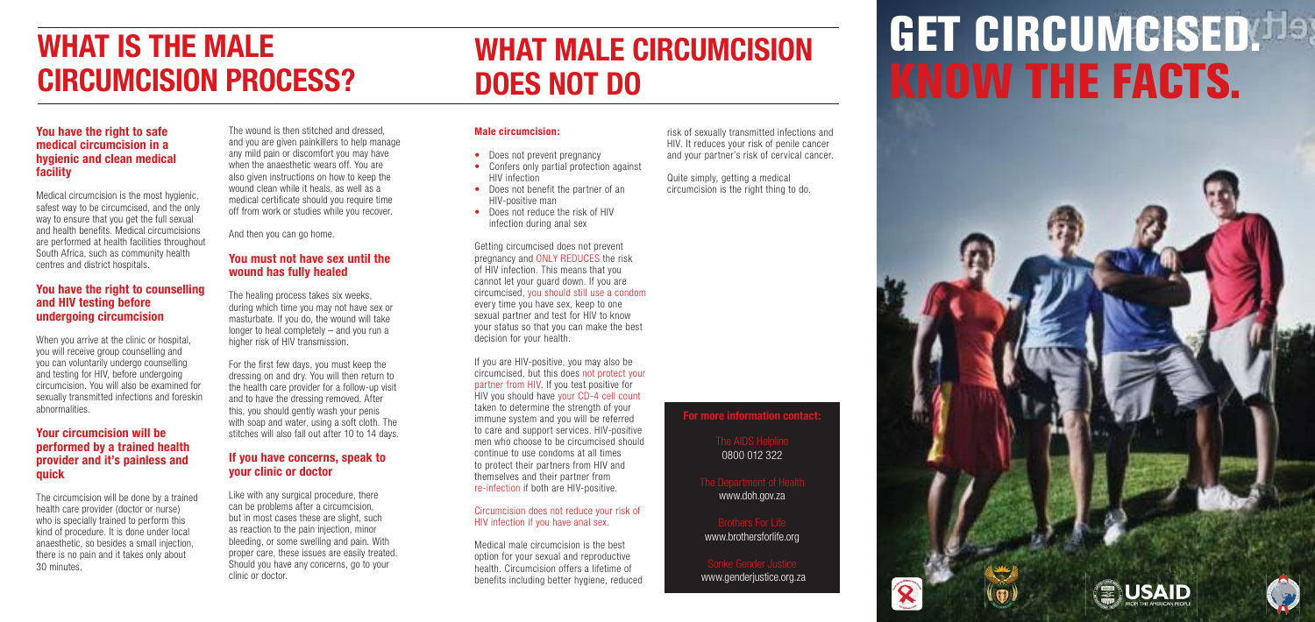#### **Male circumcision:**

- Does not prevent pregnancy
- Confers only partial protection against HIV infection
- Does not benefit the partner of an HIV-positive man
- Does not reduce the risk of HIV infection during anal sex

Getting circumcised does not prevent pregnancy and ONLY REDUCES the risk of HIV infection. This means that you cannot let your guard down. If you are circumcised, you should still use a condom every time you have sex, keep to one sexual partner and test for HIV to know your status so that you can make the best decision for your health.

If you are HIV-positive, you may also be circumcised, but this does not protect your partner from HIV. If you test positive for HIV you should have your CD-4 cell count taken to determine the strength of your immune system and you will be referred to care and support services. HIV-positive men who choose to be circumcised should continue to use condoms at all times to protect their partners from HIV and themselves and their partner from re-infection if both are HIV-positive.

#### Circumcision does not reduce your risk of HIV infection if you have anal sex.

Medical male circumcision is the best option for your sexual and reproductive health. Circumcision offers a lifetime of benefits including better hygiene, reduced

The circumcision will be done by a trained health care provider (doctor or nurse) who is specially trained to perform this kind of procedure. It is done under local anaesthetic, so besides a small injection, there is no pain and it takes only about 30 minutes.

risk of sexually transmitted infections and HIV. It reduces your risk of penile cancer and your partner's risk of cervical cancer.

Quite simply, getting a medical circumcision is the right thing to do.

# **WHAT MALE CIRCUMCISION DOES NOT DO**

### **You have the right to safe medical circumcision in a hygienic and clean medical facility**

Medical circumcision is the most hygienic, safest way to be circumcised, and the only way to ensure that you get the full sexual and health benefits. Medical circumcisions are performed at health facilities throughout South Africa, such as community health centres and district hospitals.

> For the first few days, you must keep the dressing on and dry. You will then return to the health care provider for a follow-up visit and to have the dressing removed. After this, you should gently wash your penis with soap and water, using a soft cloth. The stitches will also fall out after 10 to 14 days.

### **You have the right to counselling and HIV testing before undergoing circumcision**

# **GET CIRCUMCISED. Has KNOW THE FACTS.**







When you arrive at the clinic or hospital, you will receive group counselling and you can voluntarily undergo counselling and testing for HIV, before undergoing circumcision. You will also be examined for sexually transmitted infections and foreskin abnormalities.

#### **Your circumcision will be performed by a trained health provider and it's painless and quick**

The wound is then stitched and dressed, and you are given painkillers to help manage any mild pain or discomfort you may have when the anaesthetic wears off. You are also given instructions on how to keep the wound clean while it heals, as well as a medical certificate should you require time off from work or studies while you recover.

And then you can go home.

## **You must not have sex until the wound has fully healed**

The healing process takes six weeks, during which time you may not have sex or masturbate. If you do, the wound will take longer to heal completely – and you run a higher risk of HIV transmission.

## **If you have concerns, speak to your clinic or doctor**

Like with any surgical procedure, there can be problems after a circumcision, but in most cases these are slight, such as reaction to the pain injection, minor bleeding, or some swelling and pain. With proper care, these issues are easily treated. Should you have any concerns, go to your clinic or doctor.

# **WHAT IS THE MALE CIRCUMCISION PROCESS?**

### **For more information contact:**

0800 012 322

www.doh.gov.za

www.brothersforlife.org

www.genderjustice.org.za